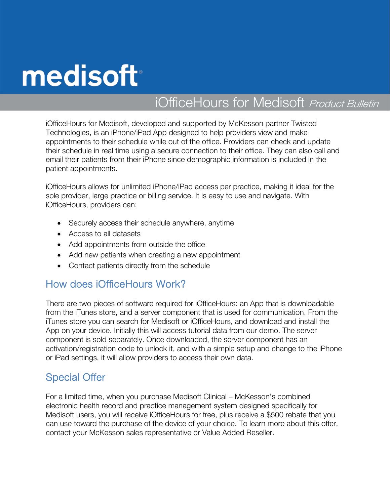# medisoft

# iOfficeHours for Medisoft Product Bulletin

iOfficeHours for Medisoft, developed and supported by McKesson partner Twisted Technologies, is an iPhone/iPad App designed to help providers view and make appointments to their schedule while out of the office. Providers can check and update their schedule in real time using a secure connection to their office. They can also call and email their patients from their iPhone since demographic information is included in the patient appointments.

iOfficeHours allows for unlimited iPhone/iPad access per practice, making it ideal for the sole provider, large practice or billing service. It is easy to use and navigate. With iOfficeHours, providers can:

- Securely access their schedule anywhere, anytime
- Access to all datasets
- Add appointments from outside the office
- Add new patients when creating a new appointment
- Contact patients directly from the schedule

#### How does iOfficeHours Work?

There are two pieces of software required for iOfficeHours: an App that is downloadable from the iTunes store, and a server component that is used for communication. From the iTunes store you can search for Medisoft or iOfficeHours, and download and install the App on your device. Initially this will access tutorial data from our demo. The server component is sold separately. Once downloaded, the server component has an activation/registration code to unlock it, and with a simple setup and change to the iPhone or iPad settings, it will allow providers to access their own data.

#### Special Offer

For a limited time, when you purchase Medisoft Clinical – McKesson's combined electronic health record and practice management system designed specifically for Medisoft users, you will receive iOfficeHours for free, plus receive a \$500 rebate that you can use toward the purchase of the device of your choice. To learn more about this offer, contact your McKesson sales representative or Value Added Reseller.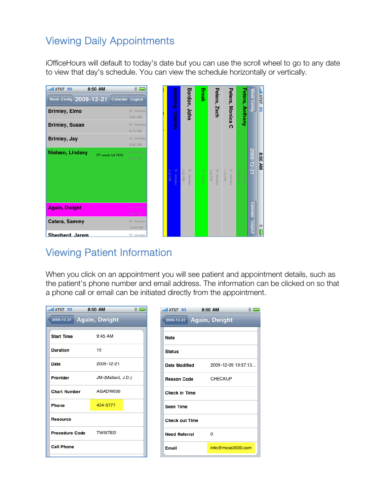## Viewing Daily Appointments

iOfficeHours will default to today's date but you can use the scroll wheel to go to any date to view that day's schedule. You can view the schedule horizontally or vertically.



## Viewing Patient Information

When you click on an appointment you will see patient and appointment details, such as the patient's phone number and email address. The information can be clicked on so that a phone call or email can be initiated directly from the appointment.

|                                                                 |                     | $*$ |
|-----------------------------------------------------------------|---------------------|-----|
| 2009-12-21 Again, Dwight<br>2009-12-21                          | Again, Dwight       |     |
| $9:45$ AM<br><b>Start Time</b><br><b>Note</b>                   |                     |     |
| 15<br><b>Duration</b><br><b>Status</b>                          |                     |     |
| 2009-12-21<br>Date<br><b>Date Modified</b>                      | 2009-12-09 19:57:13 |     |
| JM-(Mallard, J.D.)<br>Provider<br><b>Reason Code</b>            | <b>CHECKUP</b>      |     |
| AGADW000<br><b>Chart Number</b><br><b>Check in Time</b>         |                     |     |
| 434-5777<br>Phone<br><b>Seen Time</b>                           |                     |     |
| <b>Resource</b><br><b>Check out Time</b>                        |                     |     |
| <b>TWISTED</b><br><b>Procedure Code</b><br><b>Need Referral</b> | $\Omega$            |     |
| <b>Cell Phone</b><br>Email                                      | info@mcse2000.com   |     |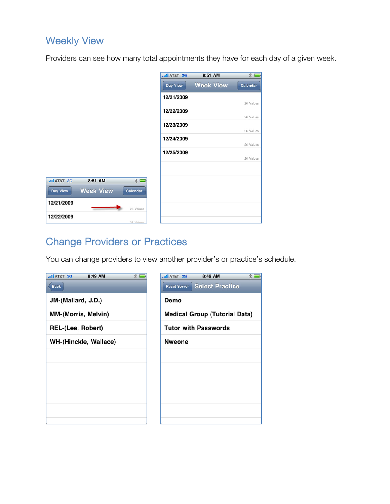## Weekly View

**BE T&TA line** 

Day View

12/21/2009

12/22/2009

Providers can see how many total appointments they have for each day of a given week.

|          |                 | <b>Juli AT&amp;T 3G</b> | 8:51 AM          | $*$       |
|----------|-----------------|-------------------------|------------------|-----------|
|          |                 | Day View                | <b>Week View</b> | Calendar  |
|          |                 | 12/21/2009              |                  | 26 Values |
|          |                 | 12/22/2009              |                  |           |
|          |                 | 12/23/2009              |                  | 26 Values |
|          |                 | 12/24/2009              |                  | 26 Values |
|          |                 | 12/25/2009              |                  | 26 Values |
|          |                 |                         |                  | 26 Values |
|          |                 |                         |                  |           |
| 8:51 AM  | $* =$           |                         |                  |           |
| eek View | <b>Calendar</b> |                         |                  |           |
|          | 26 Values       |                         |                  |           |
|          | no Value        |                         |                  |           |

## Change Providers or Practices

**Week Vie** 

You can change providers to view another provider's or practice's schedule.

| $*$<br>Il AT&T 3G<br>8:49 AM<br><b>Back</b> | $*$<br><b>Juli AT&amp;T 3G</b><br>8:49 AM<br><b>Select Practice</b><br><b>Reset Server</b> |
|---------------------------------------------|--------------------------------------------------------------------------------------------|
| JM-(Mallard, J.D.)                          | Demo                                                                                       |
| <b>MM-(Morris, Melvin)</b>                  | <b>Medical Group (Tutorial Data)</b>                                                       |
| REL-(Lee, Robert)                           | <b>Tutor with Passwords</b>                                                                |
| WH-(Hinckle, Wallace)                       | <b>Nweone</b>                                                                              |
|                                             |                                                                                            |
|                                             |                                                                                            |
|                                             |                                                                                            |
|                                             |                                                                                            |
|                                             |                                                                                            |
|                                             |                                                                                            |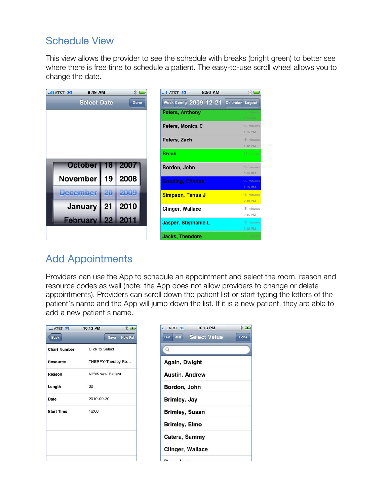#### Schedule View

This view allows the provider to see the schedule with breaks (bright green) to better see where there is free time to schedule a patient. The easy-to-use scroll wheel allows you to change the date.

| <b>Juli AT&amp;T 3G</b> | 8:49 AM              |    | $*$         | <b>AT&amp;T 3G</b>      | 8:50 AM                |                 | $*$                   |
|-------------------------|----------------------|----|-------------|-------------------------|------------------------|-----------------|-----------------------|
|                         | <b>Select Date</b>   |    | <b>Done</b> |                         | Week Config 2009-12-21 | Calendar Logout |                       |
|                         |                      |    |             | <b>Peters, Anthony</b>  |                        |                 | 15 minutes<br>1:00 PM |
|                         |                      |    |             | Peters, Monica C        |                        |                 | 15 minutes<br>1:15 PM |
|                         |                      |    |             | Peters, Zach            |                        |                 | 15 minutes<br>1:30 PM |
|                         |                      |    |             | <b>Break</b>            |                        |                 | 15 minutes:           |
|                         | October              | 18 | 2007        | Bordon, John            |                        |                 | 15 minutes            |
|                         | <b>November</b>      | 19 | 2008        | <b>Gooding, Charles</b> |                        |                 | 2:00 PM<br>15 minutes |
|                         | December   20   2009 |    |             | <b>Simpson, Tanus J</b> |                        |                 | 2:15 PM<br>15 minutes |
|                         | January              | 21 | 2010        | Clinger, Wallace        |                        |                 | 2:30 PM<br>15 minutes |
|                         | February 22          |    | 2011        |                         |                        |                 | 2:45 PM               |
|                         |                      |    |             | Jasper, Stephanie L     |                        |                 | 15 minutes<br>3:00 PM |
|                         |                      |    |             | <b>Jacks, Theodore</b>  |                        |                 | 15 minutes            |

#### Add Appointments

Providers can use the App to schedule an appointment and select the room, reason and resource codes as well (note: the App does not allow providers to change or delete appointments). Providers can scroll down the patient list or start typing the letters of the patient's name and the App will jump down the list. If it is a new patient, they are able to add a new patient's name.

| AT&T 3G             | 10:13 PM               |                        | $*$ $\rightarrow$ |  |  |
|---------------------|------------------------|------------------------|-------------------|--|--|
| <b>Back</b>         |                        | Save                   | <b>New Pat</b>    |  |  |
| <b>Chart Number</b> | <b>Click to Select</b> |                        |                   |  |  |
| <b>Resource</b>     |                        | THERPY-Therapy Ro      |                   |  |  |
| Reason              |                        | <b>NEW-New Patient</b> |                   |  |  |
| Length              | 30                     |                        |                   |  |  |
| Date                | 2010-09-30             |                        |                   |  |  |
| <b>Start Time</b>   | 16:00                  |                        |                   |  |  |
|                     |                        |                        |                   |  |  |
|                     |                        |                        |                   |  |  |
|                     |                        |                        |                   |  |  |
|                     |                        |                        |                   |  |  |

| 10:13 PM<br>AT&T 3G              | * ■  |
|----------------------------------|------|
| <b>Roll</b> Select Value<br>List | Done |
| $\mathsf Q$                      |      |
| Again, Dwight                    |      |
| Austin, Andrew                   |      |
| Bordon, John                     |      |
| Brimley, Jay                     |      |
| <b>Brimley, Susan</b>            |      |
| <b>Brimley, Elmo</b>             |      |
| Catera, Sammy                    |      |
| <b>Clinger, Wallace</b>          |      |
|                                  |      |